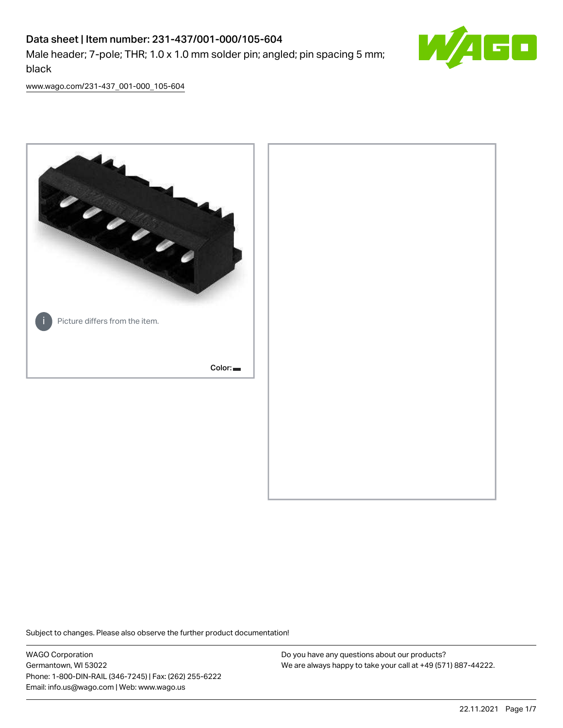## Data sheet | Item number: 231-437/001-000/105-604 Male header; 7-pole; THR; 1.0 x 1.0 mm solder pin; angled; pin spacing 5 mm; black



[www.wago.com/231-437\\_001-000\\_105-604](http://www.wago.com/231-437_001-000_105-604)



Subject to changes. Please also observe the further product documentation!

WAGO Corporation Germantown, WI 53022 Phone: 1-800-DIN-RAIL (346-7245) | Fax: (262) 255-6222 Email: info.us@wago.com | Web: www.wago.us

Do you have any questions about our products? We are always happy to take your call at +49 (571) 887-44222.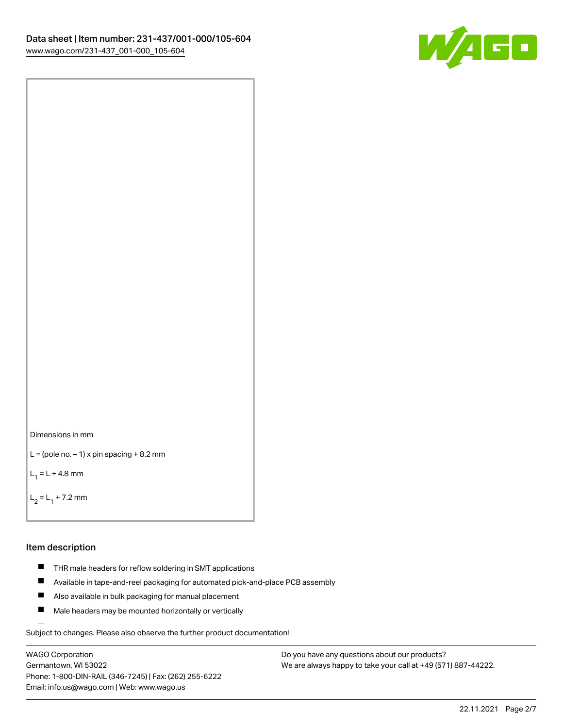

```
Dimensions in mm
```

```
L = (pole no. -1) x pin spacing +8.2 mm
```
 $L_1 = L + 4.8$  mm

```
L_2 = L_1 + 7.2 mm
```
#### Item description

- **THR** male headers for reflow soldering in SMT applications
- $\blacksquare$ Available in tape-and-reel packaging for automated pick-and-place PCB assembly
- $\blacksquare$ Also available in bulk packaging for manual placement
- $\blacksquare$ Male headers may be mounted horizontally or vertically

Subject to changes. Please also observe the further product documentation!

WAGO Corporation Germantown, WI 53022 Phone: 1-800-DIN-RAIL (346-7245) | Fax: (262) 255-6222 Email: info.us@wago.com | Web: www.wago.us

Do you have any questions about our products? We are always happy to take your call at +49 (571) 887-44222.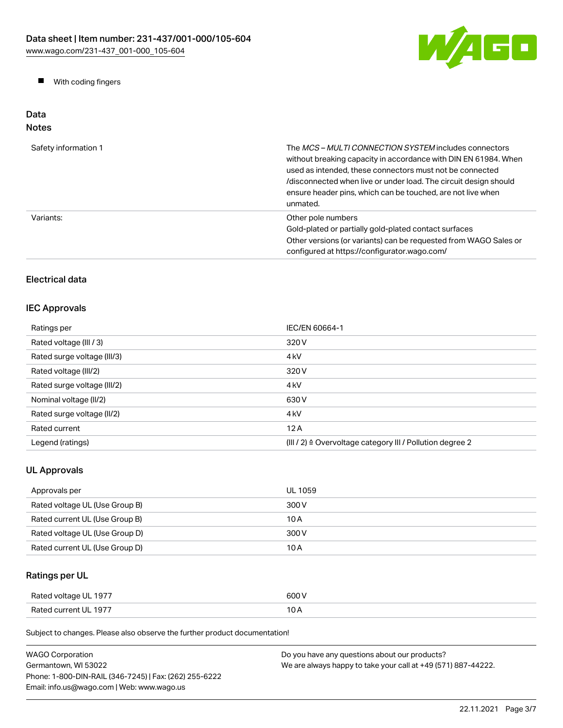

**Now With coding fingers** 

## Data Notes

| Safety information 1 | The <i>MCS – MULTI CONNECTION SYSTEM</i> includes connectors<br>without breaking capacity in accordance with DIN EN 61984. When<br>used as intended, these connectors must not be connected<br>/disconnected when live or under load. The circuit design should<br>ensure header pins, which can be touched, are not live when<br>unmated. |
|----------------------|--------------------------------------------------------------------------------------------------------------------------------------------------------------------------------------------------------------------------------------------------------------------------------------------------------------------------------------------|
| Variants:            | Other pole numbers<br>Gold-plated or partially gold-plated contact surfaces<br>Other versions (or variants) can be requested from WAGO Sales or<br>configured at https://configurator.wago.com/                                                                                                                                            |

## Electrical data

## IEC Approvals

| Ratings per                 | IEC/EN 60664-1                                            |
|-----------------------------|-----------------------------------------------------------|
| Rated voltage (III / 3)     | 320 V                                                     |
| Rated surge voltage (III/3) | 4 <sub>kV</sub>                                           |
| Rated voltage (III/2)       | 320 V                                                     |
| Rated surge voltage (III/2) | 4 <sub>kV</sub>                                           |
| Nominal voltage (II/2)      | 630 V                                                     |
| Rated surge voltage (II/2)  | 4 <sub>k</sub> V                                          |
| Rated current               | 12A                                                       |
| Legend (ratings)            | (III / 2) ≙ Overvoltage category III / Pollution degree 2 |

## UL Approvals

| Approvals per                  | UL 1059 |
|--------------------------------|---------|
| Rated voltage UL (Use Group B) | 300 V   |
| Rated current UL (Use Group B) | 10 A    |
| Rated voltage UL (Use Group D) | 300 V   |
| Rated current UL (Use Group D) | 10 A    |

## Ratings per UL

| Rated voltage UL 1977 | 600 V |
|-----------------------|-------|
| Rated current UL 1977 | 10 A  |

| <b>WAGO Corporation</b>                                | Do you have any questions about our products?                 |  |
|--------------------------------------------------------|---------------------------------------------------------------|--|
| Germantown, WI 53022                                   | We are always happy to take your call at +49 (571) 887-44222. |  |
| Phone: 1-800-DIN-RAIL (346-7245)   Fax: (262) 255-6222 |                                                               |  |
| Email: info.us@wago.com   Web: www.wago.us             |                                                               |  |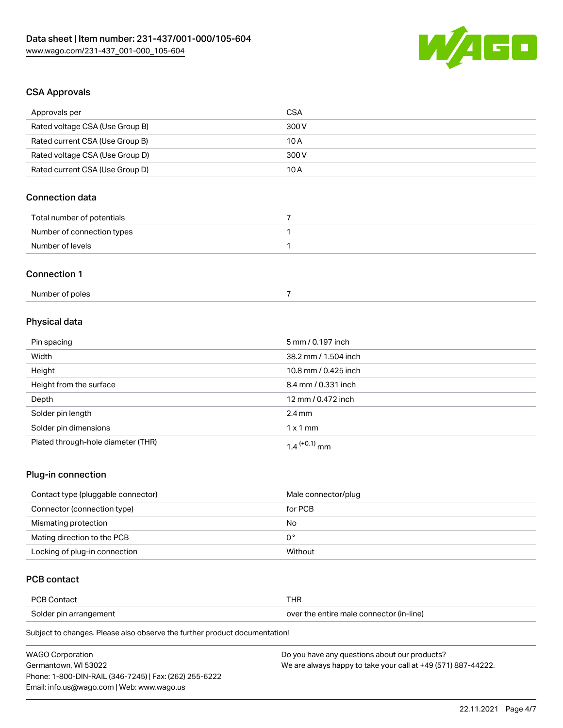

## CSA Approvals

| Approvals per                          | <b>CSA</b>                 |  |
|----------------------------------------|----------------------------|--|
| Rated voltage CSA (Use Group B)        | 300V                       |  |
| Rated current CSA (Use Group B)        | 10A                        |  |
| Rated voltage CSA (Use Group D)        | 300V                       |  |
| Rated current CSA (Use Group D)        | 10A                        |  |
| <b>Connection data</b>                 |                            |  |
| Total number of potentials             | $\overline{7}$             |  |
| Number of connection types             | 1                          |  |
| Number of levels                       | 1                          |  |
| <b>Connection 1</b><br>Number of poles | $\overline{7}$             |  |
| Physical data                          |                            |  |
| Pin spacing                            | 5 mm / 0.197 inch          |  |
| Width                                  | 38.2 mm / 1.504 inch       |  |
| Height                                 | 10.8 mm / 0.425 inch       |  |
| Height from the surface                | 8.4 mm / 0.331 inch        |  |
| Depth                                  | 12 mm / 0.472 inch         |  |
| Solder pin length                      | $2.4 \, \text{mm}$         |  |
| Solder pin dimensions                  | $1 \times 1$ mm            |  |
| Plated through-hole diameter (THR)     | $1.4$ <sup>(+0.1)</sup> mm |  |

#### Plug-in connection

| Contact type (pluggable connector) | Male connector/plug |
|------------------------------------|---------------------|
| Connector (connection type)        | for PCB             |
| Mismating protection               | No                  |
| Mating direction to the PCB        | 0°                  |
| Locking of plug-in connection      | Without             |

## PCB contact

| <b>PCB Contact</b>     | THR                                      |
|------------------------|------------------------------------------|
| Solder pin arrangement | over the entire male connector (in-line) |

| <b>WAGO Corporation</b>                                | Do you have any questions about our products?                 |
|--------------------------------------------------------|---------------------------------------------------------------|
| Germantown, WI 53022                                   | We are always happy to take your call at +49 (571) 887-44222. |
| Phone: 1-800-DIN-RAIL (346-7245)   Fax: (262) 255-6222 |                                                               |
| Email: info.us@wago.com   Web: www.wago.us             |                                                               |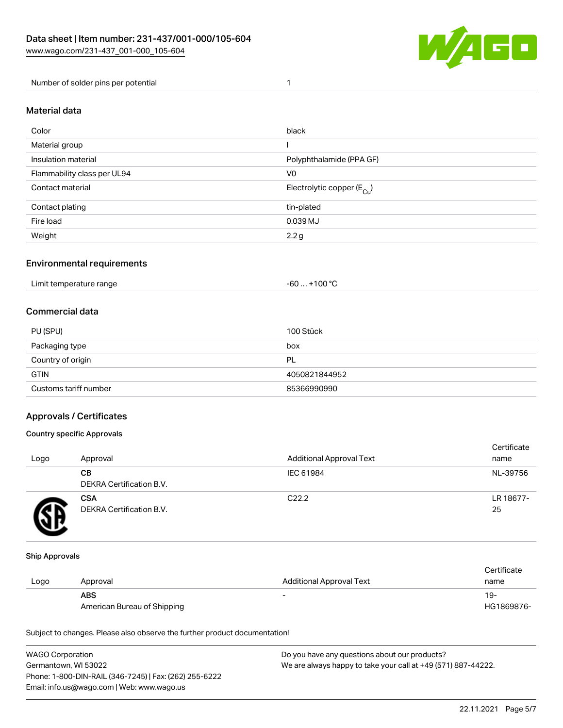

Number of solder pins per potential 1

#### Material data

| Color                       | black                                 |
|-----------------------------|---------------------------------------|
| Material group              |                                       |
| Insulation material         | Polyphthalamide (PPA GF)              |
| Flammability class per UL94 | V <sub>0</sub>                        |
| Contact material            | Electrolytic copper $(E_{\text{Cl}})$ |
| Contact plating             | tin-plated                            |
| Fire load                   | 0.039 MJ                              |
| Weight                      | 2.2 g                                 |

#### Environmental requirements

Limit temperature range  $-60... +100 °C$ 

#### Commercial data

| PU (SPU)              | 100 Stück     |
|-----------------------|---------------|
| Packaging type        | box           |
| Country of origin     | PL            |
| <b>GTIN</b>           | 4050821844952 |
| Customs tariff number | 85366990990   |

#### Approvals / Certificates

#### Country specific Approvals

| Logo | Approval                               | <b>Additional Approval Text</b> | Certificate<br>name |
|------|----------------------------------------|---------------------------------|---------------------|
|      | CВ<br><b>DEKRA Certification B.V.</b>  | IEC 61984                       | NL-39756            |
|      | <b>CSA</b><br>DEKRA Certification B.V. | C <sub>22.2</sub>               | LR 18677-<br>25     |

#### Ship Approvals

|      |                             |                          | Certificate |
|------|-----------------------------|--------------------------|-------------|
| Logo | Approval                    | Additional Approval Text | name        |
|      | <b>ABS</b>                  | $\overline{\phantom{a}}$ | $19-$       |
|      | American Bureau of Shipping |                          | HG1869876-  |

| <b>WAGO Corporation</b>                                | Do you have any questions about our products?                 |
|--------------------------------------------------------|---------------------------------------------------------------|
| Germantown, WI 53022                                   | We are always happy to take your call at +49 (571) 887-44222. |
| Phone: 1-800-DIN-RAIL (346-7245)   Fax: (262) 255-6222 |                                                               |
| Email: info.us@wago.com   Web: www.wago.us             |                                                               |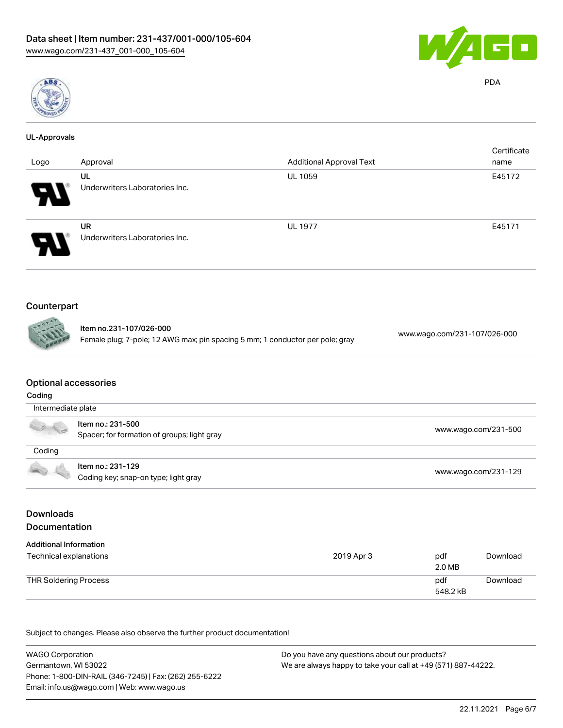



# PDA

| <b>UL-Approvals</b> |                                                                                                          |                                 |                              |
|---------------------|----------------------------------------------------------------------------------------------------------|---------------------------------|------------------------------|
|                     |                                                                                                          |                                 | Certificate                  |
| Logo                | Approval                                                                                                 | <b>Additional Approval Text</b> | name                         |
|                     | UL<br>Underwriters Laboratories Inc.                                                                     | <b>UL 1059</b>                  | E45172                       |
|                     | <b>UR</b><br>Underwriters Laboratories Inc.                                                              | <b>UL 1977</b>                  | E45171                       |
| Counterpart         | Item no.231-107/026-000<br>Female plug; 7-pole; 12 AWG max; pin spacing 5 mm; 1 conductor per pole; gray |                                 | www.wago.com/231-107/026-000 |
| Coding              | <b>Optional accessories</b>                                                                              |                                 |                              |
| Intermediate plate  |                                                                                                          |                                 |                              |
|                     | Item no.: 231-500<br>Spacer; for formation of groups; light gray                                         |                                 | www.wago.com/231-500         |
| Coding              |                                                                                                          |                                 |                              |

#### Item no.: 231-129 ntem no.: 231-129<br>Coding key; snap-on type; light gray [www.wago.com/231-129](http://www.wago.com/231-129)

## Downloads Documentation

| <b>Additional Information</b> |            |                 |          |
|-------------------------------|------------|-----------------|----------|
| Technical explanations        | 2019 Apr 3 | pdf<br>2.0 MB   | Download |
| THR Soldering Process         |            | pdf<br>548.2 kB | Download |

| <b>WAGO Corporation</b>                                | Do you have any questions about our products?                 |  |
|--------------------------------------------------------|---------------------------------------------------------------|--|
| Germantown, WI 53022                                   | We are always happy to take your call at +49 (571) 887-44222. |  |
| Phone: 1-800-DIN-RAIL (346-7245)   Fax: (262) 255-6222 |                                                               |  |
| Email: info.us@wago.com   Web: www.wago.us             |                                                               |  |